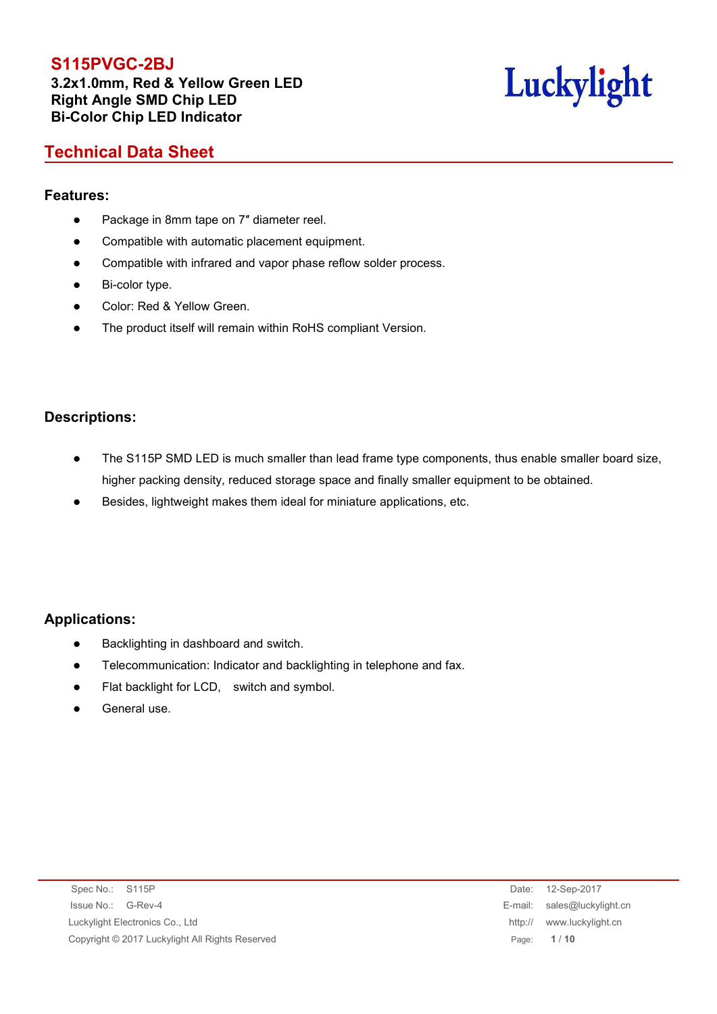**3.2x1.0mm, Red & Yellow GreenLED Right Angle SMD Chip LED Bi-Color Chip LED Indicator**



## **Technical Data Sheet**

#### **Features:**

- Package in 8mm tape on 7″ diameter reel.
- Compatible with automatic placement equipment.
- Compatible with infrared and vapor phase reflow solder process.
- Bi-color type.
- Color: Red & Yellow Green.
- The product itself will remain within RoHS compliant Version.

#### **Descriptions:**

- The S115P SMD LED is much smaller than lead frame type components, thus enable smaller board size, higher packing density, reduced storage space and finally smaller equipment to be obtained.
- Besides, lightweight makes them ideal for miniature applications, etc.

#### **Applications:**

- Backlighting in dashboard and switch.
- Telecommunication: Indicator and backlighting in telephone and fax.
- Flat backlight for LCD, switch and symbol.
- General use.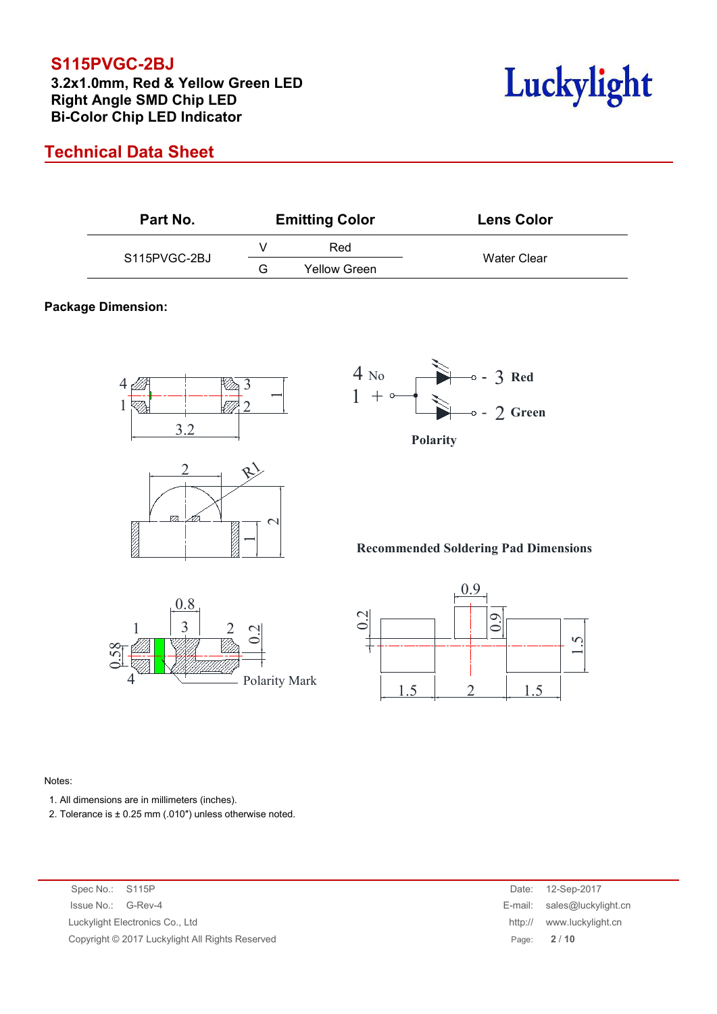**3.2x1.0mm, Red & Yellow Green LED**<br>
Right Angle SMD Chin LED<br>
Right Angle SMD Chin LED **Right Angle SMD Chip LED Bi-Color Chip LED Indicator**



## **Technical Data Sheet**

| Part No.     |   | <b>Emitting Color</b> | <b>Lens Color</b> |  |
|--------------|---|-----------------------|-------------------|--|
|              |   | Red                   |                   |  |
| S115PVGC-2BJ | G | Yellow Green          | Water Clear       |  |

#### **Package Dimension:**







**Recommended Soldering Pad Dimensions**





#### Notes:

1. All dimensions are in millimeters (inches).

2. Tolerance is  $\pm$  0.25 mm (.010") unless otherwise noted.

Spec No.: S115P Issue No.: G-Rev-4 Luckylight Electronics Co., Ltd. Copyright © 2017 Luckylight All Rights Reserved

| Date:   | 12-Sep-2017         |
|---------|---------------------|
| E-mail: | sales@luckylight.cn |
| http:// | www.luckylight.cn   |
| Page:   | 2/10                |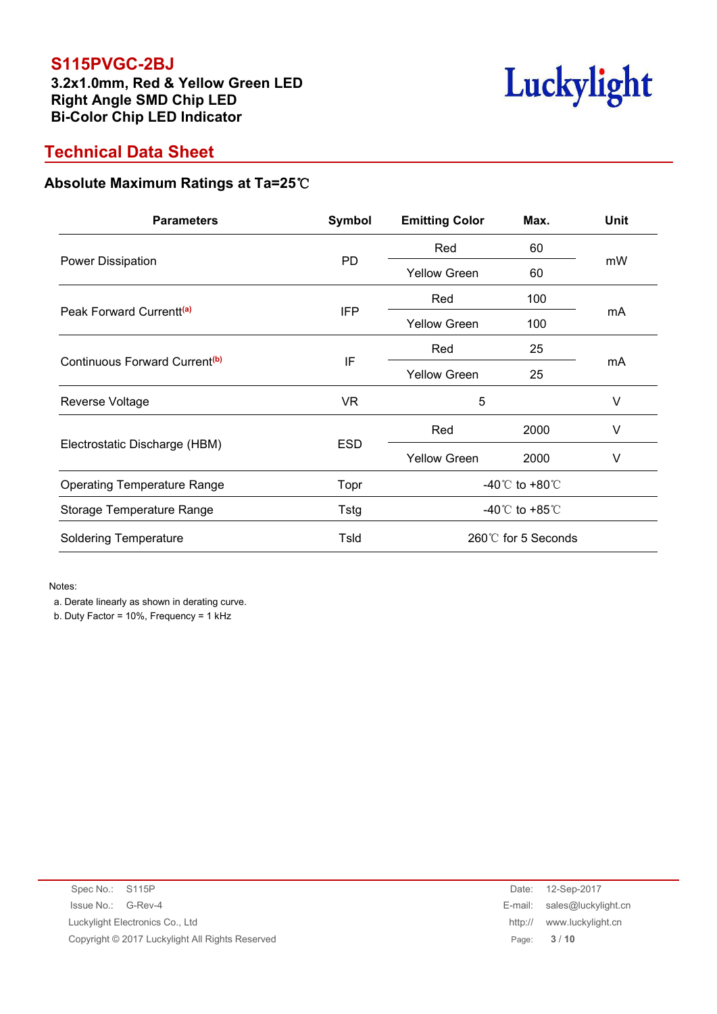**3.2x1.0mm, Red & Yellow Green LED**<br>
Right Angle SMD Chip LED<br>
Right Angle SMD Chip LED **Right Angle SMD Chip LED Bi-Color Chip LED Indicator**



## **Technical Data Sheet**

#### **Absolute Maximum Ratings at Ta=25**℃

| Symbol<br><b>Parameters</b> |                                      | <b>Emitting Color</b><br>Max. |    |  |
|-----------------------------|--------------------------------------|-------------------------------|----|--|
|                             | 60<br>Red                            |                               |    |  |
|                             | <b>Yellow Green</b>                  | 60                            | mW |  |
|                             | Red                                  | 100                           |    |  |
|                             | <b>Yellow Green</b>                  | 100                           | mA |  |
|                             | Red                                  | 25                            | mA |  |
|                             | <b>Yellow Green</b>                  | 25                            |    |  |
| <b>VR</b>                   | 5                                    |                               | V  |  |
| <b>ESD</b>                  | Red                                  | 2000                          | ٧  |  |
|                             | <b>Yellow Green</b>                  | 2000                          | V  |  |
| Topr                        | -40 $^{\circ}$ C to +80 $^{\circ}$ C |                               |    |  |
| <b>Tstg</b>                 | -40 $\degree$ C to +85 $\degree$ C   |                               |    |  |
| Tsld                        | 260℃ for 5 Seconds                   |                               |    |  |
|                             | <b>PD</b><br><b>IFP</b><br>IF        |                               |    |  |

Notes:

a. Derate linearly as shown in derating curve.

b. Duty Factor = 10%, Frequency = 1 kHz

| Spec No.: S115P                                 | Date:   | 12-Sep-2017                 |
|-------------------------------------------------|---------|-----------------------------|
| Issue No.: G-Rev-4                              |         | E-mail: sales@luckylight.cn |
| Luckylight Electronics Co., Ltd                 | http:// | www.luckylight.cn           |
| Copyright © 2017 Luckylight All Rights Reserved |         | Page: 3/10                  |
|                                                 |         |                             |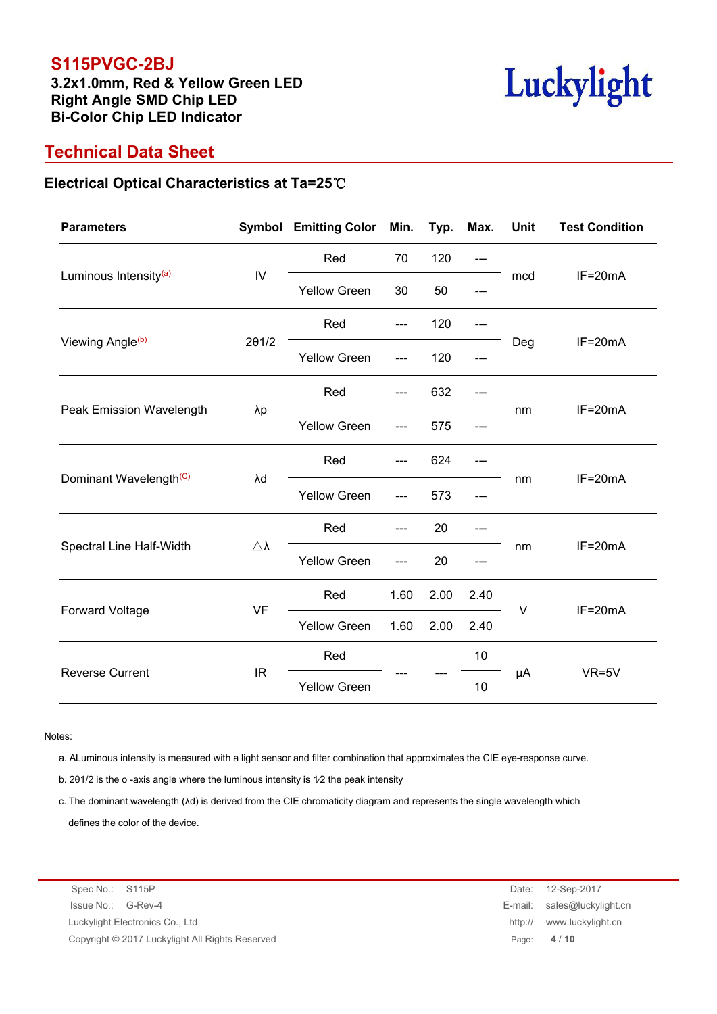## **3.2x1.0mm, Red & Yellow Green LED**<br> **Right Angle SMD Chin LED**<br>
Right Angle SMD Chin LED **Right Angle SMD Chip LED Bi-Color Chip LED Indicator**



## **Technical Data Sheet**

#### **Electrical Optical Characteristics at Ta=25**℃

| <b>Parameters</b>                  |                     | Symbol Emitting Color Min. |       | Typ. | Max.  | <b>Unit</b> | <b>Test Condition</b> |
|------------------------------------|---------------------|----------------------------|-------|------|-------|-------------|-----------------------|
| Luminous Intensity <sup>(a)</sup>  |                     | Red                        | 70    | 120  | $---$ | mcd         | IF=20mA               |
|                                    | $\mathsf{IV}$       | <b>Yellow Green</b>        | 30    | 50   | ---   |             |                       |
| Viewing Angle <sup>(b)</sup>       |                     | Red                        | $---$ | 120  | ---   | Deg         | IF=20mA               |
|                                    | 201/2               | <b>Yellow Green</b>        | $---$ | 120  | ---   |             |                       |
| Peak Emission Wavelength           |                     | Red                        | $---$ | 632  | ---   | nm          | IF=20mA               |
|                                    | λp                  | <b>Yellow Green</b>        |       | 575  |       |             |                       |
| Dominant Wavelength <sup>(C)</sup> |                     | Red                        | $---$ | 624  | $---$ | nm          | IF=20mA               |
|                                    | λd                  | <b>Yellow Green</b>        | ---   | 573  | ---   |             |                       |
| Spectral Line Half-Width           |                     | Red                        | $---$ | 20   | ---   |             | IF=20mA               |
|                                    | $\triangle \lambda$ | <b>Yellow Green</b>        |       | 20   |       | nm          |                       |
| Forward Voltage                    |                     | Red                        | 1.60  | 2.00 | 2.40  |             | IF=20mA               |
|                                    | <b>VF</b>           | <b>Yellow Green</b>        | 1.60  | 2.00 | 2.40  | $\vee$      |                       |
| <b>Reverse Current</b>             |                     | Red                        |       |      | 10    |             | $VR=5V$<br>μA         |
|                                    | IR.                 | Yellow Green               |       |      | 10    |             |                       |

Notes:

- a. ALuminous intensity is measured with a light sensor and filter combination that approximates the CIE eye-response curve.
- b. 2θ1/2 is the o -axis angle where the luminous intensity is 1⁄2 the peak intensity
- c. The dominant wavelength (λd) is derived from the CIE chromaticity diagram and represents the single wavelength which defines the color of the device.

Spec No.: S115P Date: 12-Sep-2017 Issue No.: G-Rev-4 E-mail: sales@luckylight.cn Luckylight Electronics Co., Ltd http:// www.luckylight.cn Copyright © 2017 Luckylight All Rights Reserved Page: **4** / **10**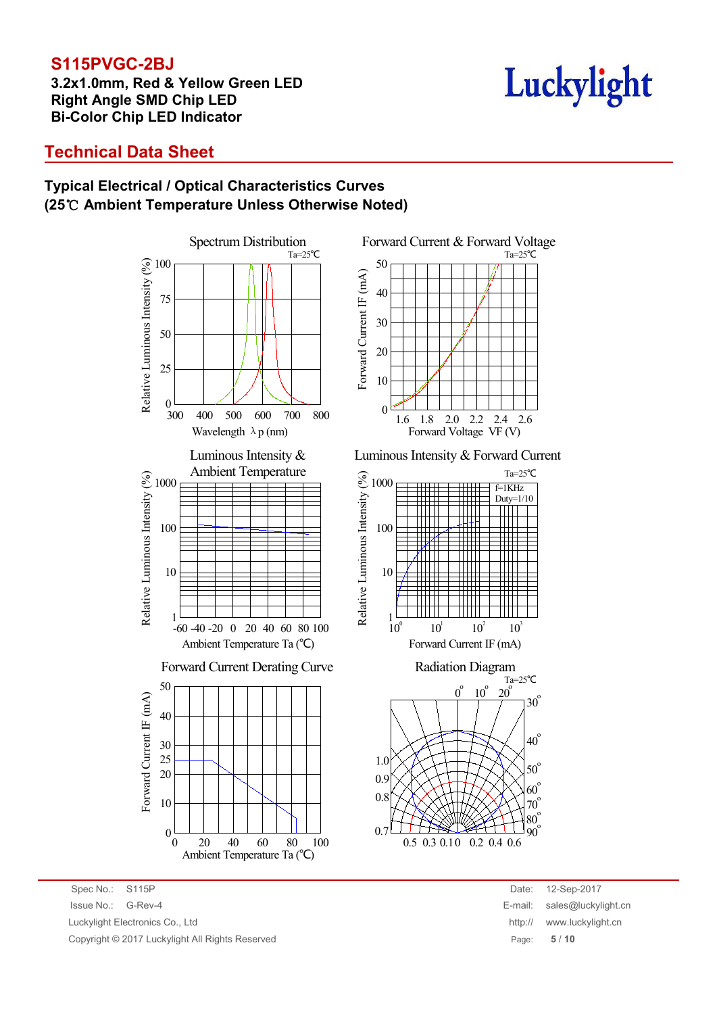**3.1.3P vGC-2DJ**<br>
3.2x1.0mm, Red & Yellow Green LED<br>
Right Angle SMD Chin LED **Right Angle SMD Chip LED Bi-Color Chip LED Indicator**

## **Technical Data Sheet**

#### **Typical Electrical / Optical Characteristics Curves (25**℃ **Ambient Temperature Unless Otherwise Noted)**



Forward Current & Forward Voltage  $\sum_{k=1}^{20}$  10  $\mathord{\mathbb C}$  $\begin{array}{c|c}\n\text{E} & 40 \\
\text{E} & 30\n\end{array}$  $\overline{\mathcal{Z}}$   $\perp$ Ta=25℃  $0 \frac{1}{1.6}$  1.8 10 20 30 40 50  $2.0$  2.2 Forward Voltage VF (V) 2.4 2.6

Luminous Intensity & Forward Current





Spec No.: S115P Date: 12-Sep-2017 Issue No.: G-Rev-4 E-mail: sales@luckylight.cn Luckylight Electronics Co., Ltd Copyright © 2017 Luckylight All Rights Reserved

| Date:   | 12-Sep-2017         |
|---------|---------------------|
| E-mail: | sales@luckylight.cn |
| http:// | www.luckylight.cn   |
| Page:   | 5/10                |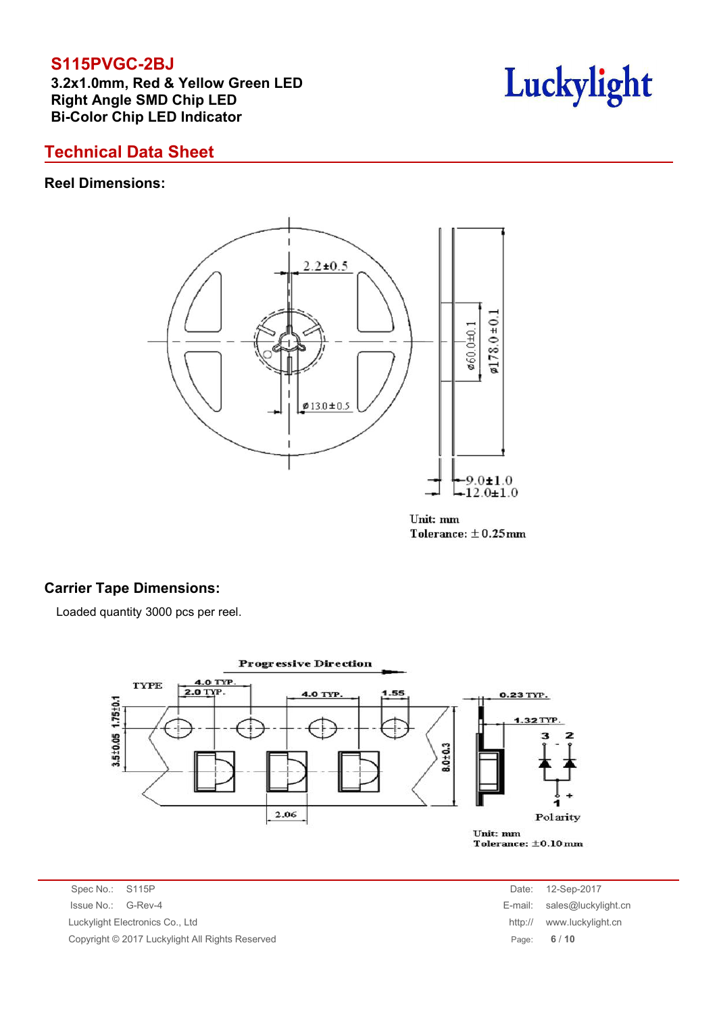**3.2x1.0mm, Red & Yellow Green LED**<br> **Right Angle SMD Chip LED**<br> **Right Angle SMD Chip LED Right Angle SMD Chip LED Bi-Color Chip LED Indicator**



### **Technical Data Sheet**

#### **Reel Dimensions:**



Unit: mm Tolerance:  $\pm$  0.25mm

#### **Carrier Tape Dimensions:**

Loaded quantity 3000 pcs per reel.



Spec No.: S115P Date: 12-Sep-2017 Issue No.: G-Rev-4 E-mail: sales@luckylight.cn Luckylight Electronics Co., Ltd http:// www.luckylight.cn Copyright © 2017 Luckylight All Rights Reserved Page: **6** / **10**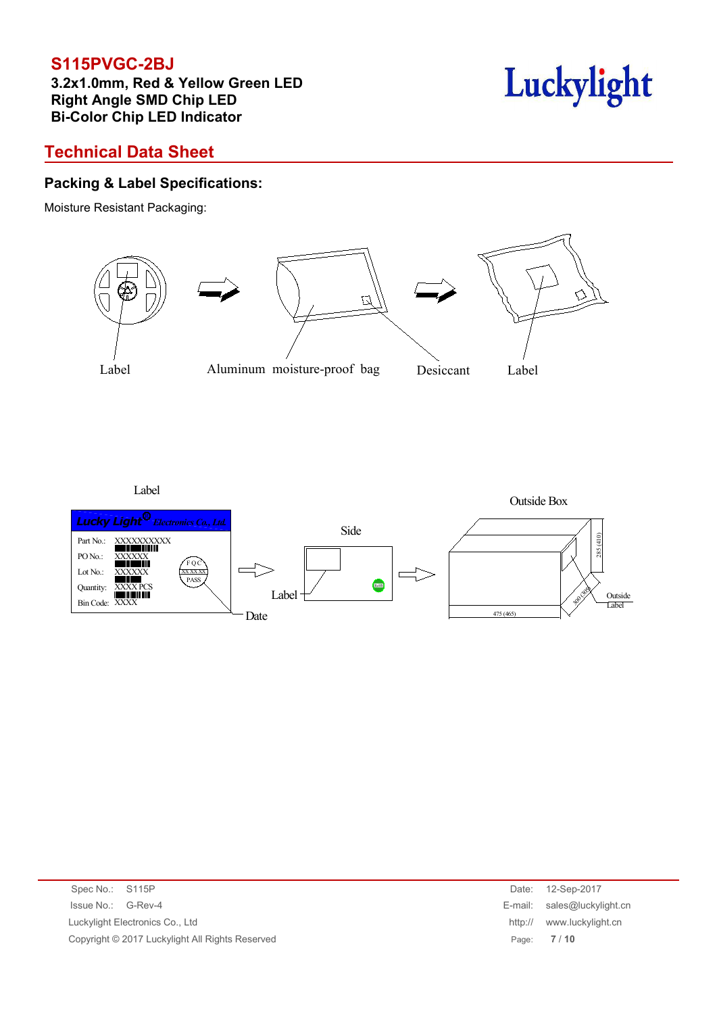## **3.2x1.0mm, Red & Yellow Green LED**<br>
Right Angle SMD Chip LED<br>
Right Angle SMD Chip LED **Right Angle SMD Chip LED Bi-Color Chip LED Indicator**



## **Technical Data Sheet**

#### **Packing & Label Specifications:**

Moisture Resistant Packaging:



Label



| Spec No.: S115P                                 | Date:      | 12-Sep-2017                 |
|-------------------------------------------------|------------|-----------------------------|
| Issue No.: G-Rev-4                              |            | E-mail: sales@luckylight.cn |
| Luckylight Electronics Co., Ltd                 | http://    | www.luckylight.cn           |
| Copyright © 2017 Luckylight All Rights Reserved | Page: 7/10 |                             |
|                                                 |            |                             |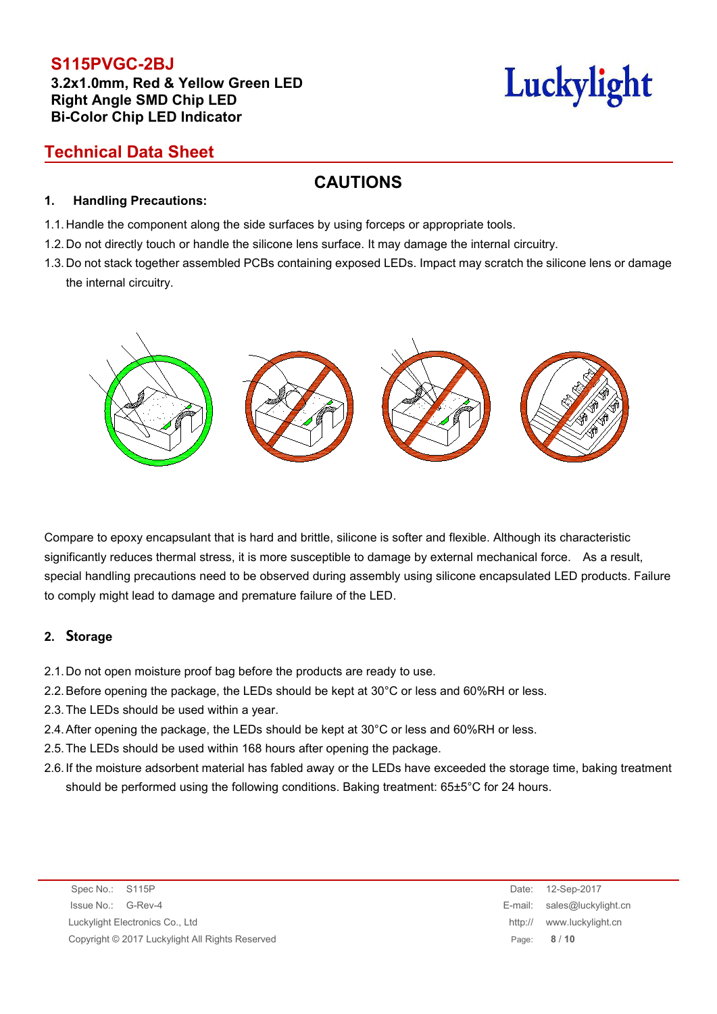#### **3.2x1.0mm, Red & Yellow GreenLED Right Angle SMD Chip LED Bi-Color Chip LED Indicator**

# Luckylight

## **Technical Data Sheet**

## **CAUTIONS**

#### **1. Handling Precautions:**

- 1.1. Handle the component along the side surfaces by using forceps or appropriate tools.
- 1.2. Do not directly touch or handle the silicone lens surface. It may damage the internal circuitry.
- 1.3. Do not stack together assembled PCBs containing exposed LEDs. Impact may scratch the silicone lens or damage the internal circuitry.



Compare to epoxy encapsulant that is hard and brittle, silicone is softer and flexible. Although its characteristic significantly reduces thermal stress, it is more susceptible to damage by external mechanical force. As a result, special handling precautions need to be observed during assembly using silicone encapsulated LED products. Failure to comply might lead to damage and premature failure of the LED.

#### **2. Storage**

- 2.1.Do not open moisture proof bag before the products are ready to use.
- 2.2.Before opening the package, the LEDs should be kept at 30°C or less and 60%RH or less.
- 2.3.The LEDs should be used within a year.
- 2.4.After opening the package, the LEDs should be kept at 30°C or less and 60%RH or less.
- 2.5.The LEDs should be used within 168 hours after opening the package.
- 2.6.If the moisture adsorbent material has fabled away or the LEDs have exceeded the storage time, baking treatment should be performed using the following conditions. Baking treatment: 65±5°C for 24 hours.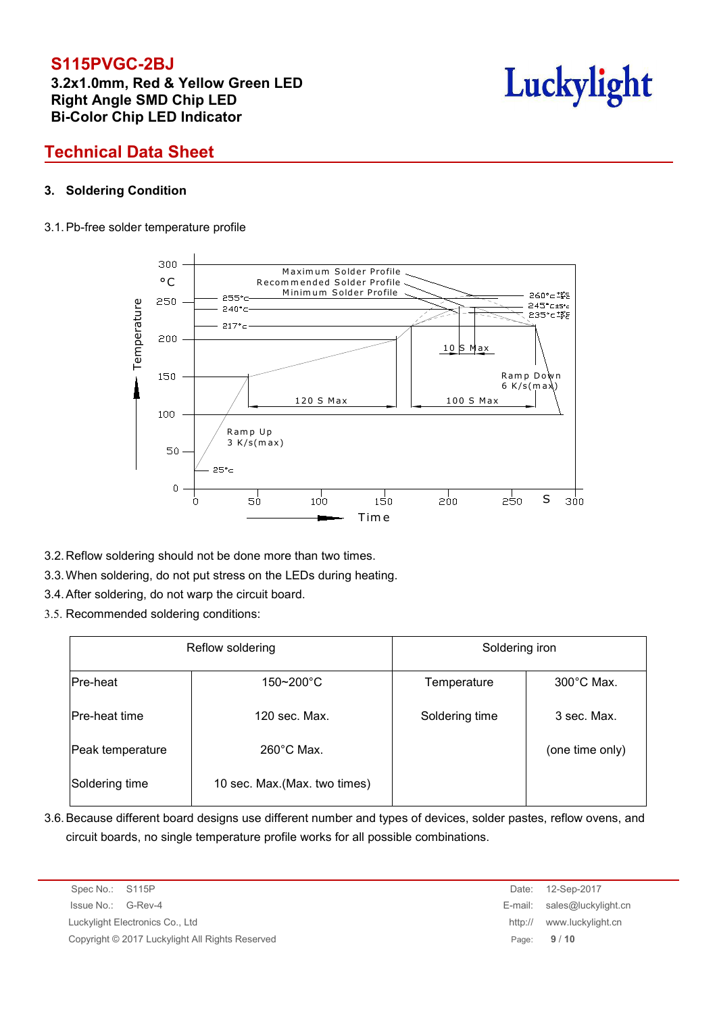**3.2x1.0mm, Red & Yellow GreenLED Right Angle SMD Chip LED Bi-Color Chip LED Indicator**



## **Technical Data Sheet**

#### **3. Soldering Condition**

#### 3.1.Pb-free solder temperature profile



- 3.2.Reflow soldering should not be done more than two times.
- 3.3.When soldering, do not put stress on the LEDs during heating.
- 3.4.After soldering, do not warp the circuit board.
- 3.5. Recommended soldering conditions:

| Reflow soldering |                               | Soldering iron |                      |  |  |
|------------------|-------------------------------|----------------|----------------------|--|--|
| Pre-heat         | $150 - 200^{\circ}$ C         | Temperature    | $300^{\circ}$ C Max. |  |  |
| Pre-heat time    | 120 sec. Max.                 | Soldering time | 3 sec. Max.          |  |  |
| Peak temperature | $260^{\circ}$ C Max.          |                | (one time only)      |  |  |
| Soldering time   | 10 sec. Max. (Max. two times) |                |                      |  |  |

3.6.Because different board designs use different number and types of devices, solder pastes, reflow ovens, and circuit boards, no single temperature profile works for all possible combinations.